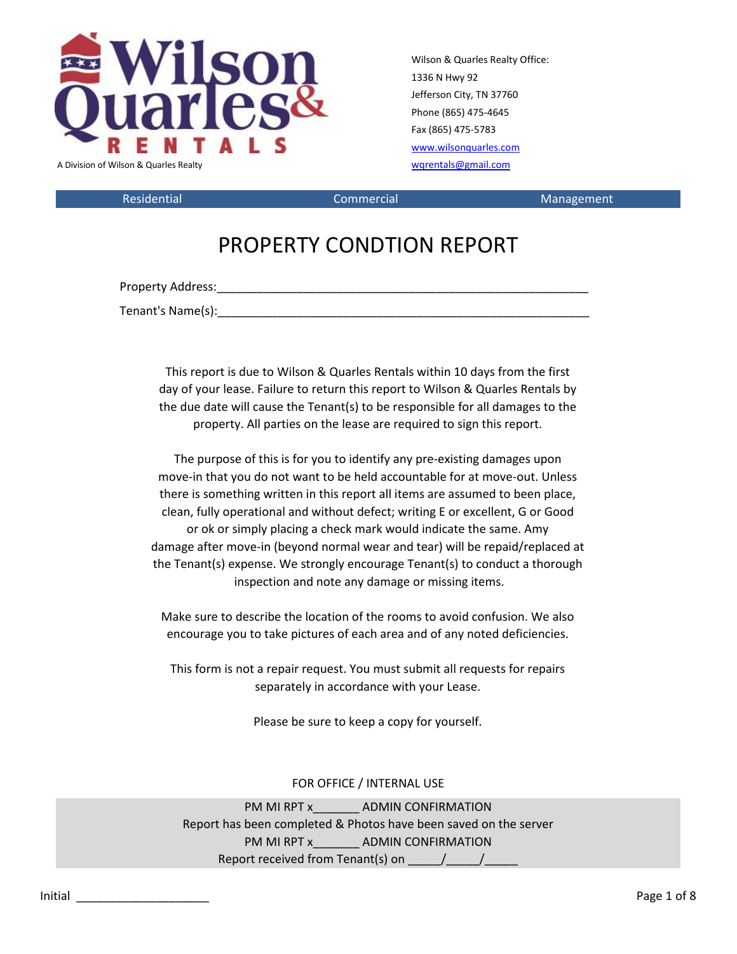

Wilson & Quarles Realty Office: 1336 N Hwy 92 Jefferson City, TN 37760 Phone (865) 475-4645 Fax (865) 475-5783 [www.wilsonquarles.com](http://www.wilsonquarles.com/)

Residential **Commercial** Commercial Management

## PROPERTY CONDTION REPORT

Property Address: entertainment of the state of the state of the state of the state of the state of the state of the state of the state of the state of the state of the state of the state of the state of the state of the s

Tenant's Name(s): Tenant's Name(s):

This report is due to Wilson & Quarles Rentals within 10 days from the first day of your lease. Failure to return this report to Wilson & Quarles Rentals by the due date will cause the Tenant(s) to be responsible for all damages to the property. All parties on the lease are required to sign this report.

The purpose of this is for you to identify any pre-existing damages upon move-in that you do not want to be held accountable for at move-out. Unless there is something written in this report all items are assumed to been place, clean, fully operational and without defect; writing E or excellent, G or Good or ok or simply placing a check mark would indicate the same. Amy damage after move-in (beyond normal wear and tear) will be repaid/replaced at the Tenant(s) expense. We strongly encourage Tenant(s) to conduct a thorough inspection and note any damage or missing items.

Make sure to describe the location of the rooms to avoid confusion. We also encourage you to take pictures of each area and of any noted deficiencies.

This form is not a repair request. You must submit all requests for repairs separately in accordance with your Lease.

Please be sure to keep a copy for yourself.

### FOR OFFICE / INTERNAL USE

PM MI RPT x ADMIN CONFIRMATION Report has been completed & Photos have been saved on the server PM MI RPT x **ADMIN CONFIRMATION** Report received from Tenant(s) on  $\frac{1}{\sqrt{2}}$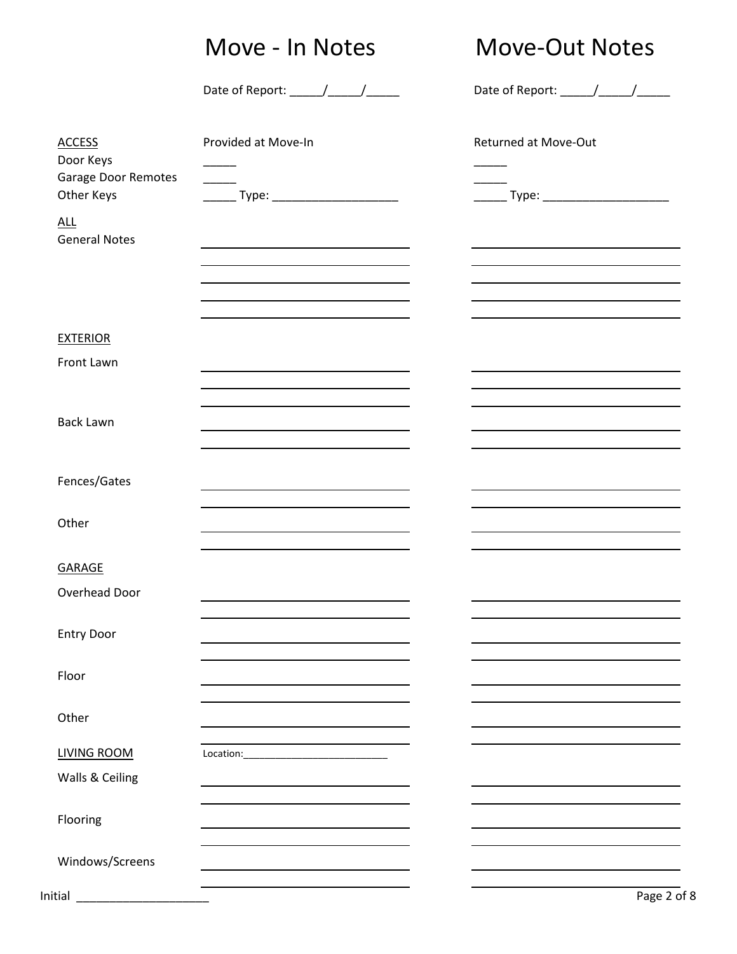# Move - In Notes Move-Out Notes

Date of Report: \_\_\_\_\_\_/\_\_\_\_\_\_/\_\_\_\_\_\_\_\_ Date of Report: \_\_\_\_\_/\_\_\_\_\_/\_\_\_\_\_\_\_\_\_\_\_\_\_\_

| <b>ACCESS</b>                      | Provided at Move-In                                                                       | <b>Returned at Move-Out</b>                                                     |
|------------------------------------|-------------------------------------------------------------------------------------------|---------------------------------------------------------------------------------|
| Door Keys                          |                                                                                           |                                                                                 |
| Garage Door Remotes<br>Other Keys  | $\overline{\phantom{a}}$<br>_______ Type: _________________________                       |                                                                                 |
| <b>ALL</b><br><b>General Notes</b> | the control of the control of the control of the control of the control of                |                                                                                 |
|                                    |                                                                                           |                                                                                 |
|                                    | the control of the control of the control of the control of the control of the control of |                                                                                 |
| <b>EXTERIOR</b>                    |                                                                                           |                                                                                 |
| Front Lawn                         |                                                                                           |                                                                                 |
|                                    | the contract of the contract of the contract of the contract of                           | the contract of the contract of the contract of the contract of the contract of |
| <b>Back Lawn</b>                   |                                                                                           |                                                                                 |
|                                    |                                                                                           |                                                                                 |
| Fences/Gates                       |                                                                                           |                                                                                 |
| Other                              |                                                                                           |                                                                                 |
| <b>GARAGE</b>                      |                                                                                           |                                                                                 |
| Overhead Door                      |                                                                                           |                                                                                 |
| <b>Entry Door</b>                  |                                                                                           | the control of the control of the control of the control of the control of      |
|                                    | the control of the control of the control of the control of the control of                |                                                                                 |
| Floor                              |                                                                                           |                                                                                 |
| Other                              |                                                                                           |                                                                                 |
| LIVING ROOM                        |                                                                                           |                                                                                 |
| Walls & Ceiling                    |                                                                                           |                                                                                 |
| Flooring                           |                                                                                           |                                                                                 |
| Windows/Screens                    |                                                                                           |                                                                                 |
| Initial                            |                                                                                           | Page 2 of 8                                                                     |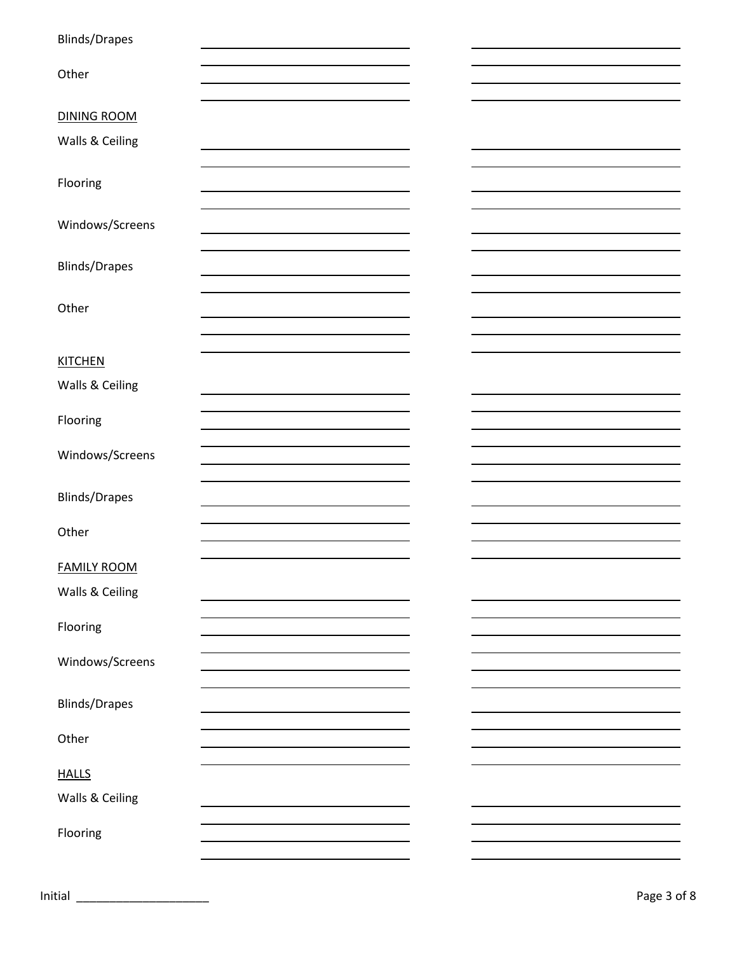| <b>Blinds/Drapes</b> |  |  |
|----------------------|--|--|
|                      |  |  |
| Other                |  |  |
|                      |  |  |
| <b>DINING ROOM</b>   |  |  |
| Walls & Ceiling      |  |  |
|                      |  |  |
| Flooring             |  |  |
|                      |  |  |
| Windows/Screens      |  |  |
|                      |  |  |
| <b>Blinds/Drapes</b> |  |  |
|                      |  |  |
| Other                |  |  |
|                      |  |  |
|                      |  |  |
| <b>KITCHEN</b>       |  |  |
| Walls & Ceiling      |  |  |
|                      |  |  |
| Flooring             |  |  |
| Windows/Screens      |  |  |
|                      |  |  |
| <b>Blinds/Drapes</b> |  |  |
|                      |  |  |
| Other                |  |  |
|                      |  |  |
| <b>FAMILY ROOM</b>   |  |  |
| Walls & Ceiling      |  |  |
|                      |  |  |
| Flooring             |  |  |
|                      |  |  |
| Windows/Screens      |  |  |
|                      |  |  |
| <b>Blinds/Drapes</b> |  |  |
| Other                |  |  |
|                      |  |  |
| <b>HALLS</b>         |  |  |
| Walls & Ceiling      |  |  |
|                      |  |  |
| Flooring             |  |  |
|                      |  |  |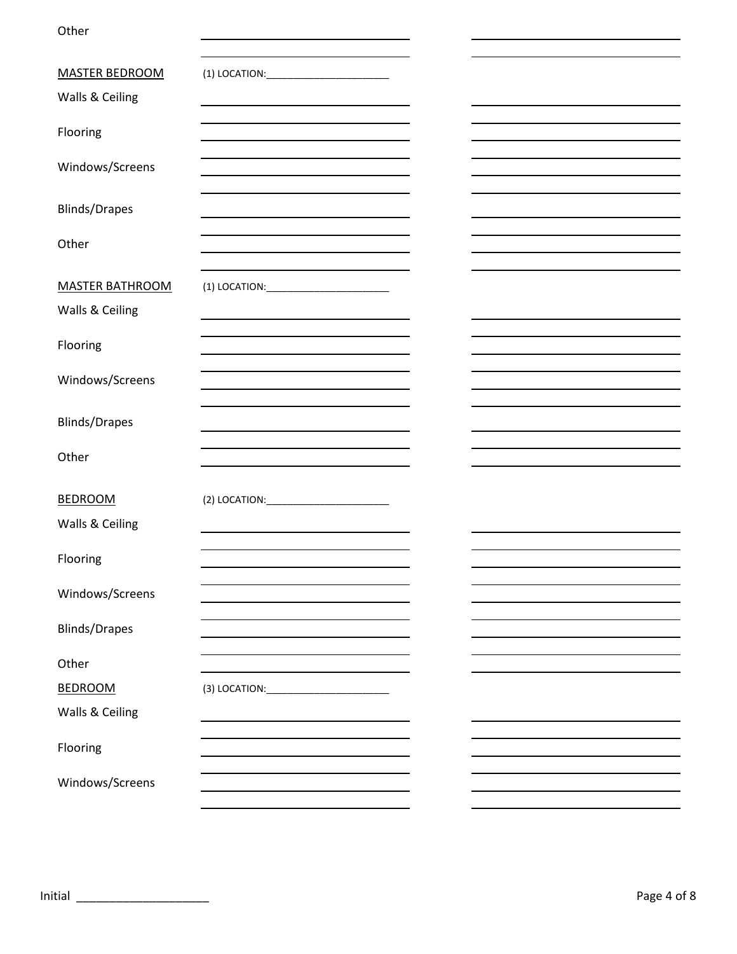Other

| <b>MASTER BEDROOM</b>  |                                                                                           |  |
|------------------------|-------------------------------------------------------------------------------------------|--|
| Walls & Ceiling        |                                                                                           |  |
|                        |                                                                                           |  |
| Flooring               |                                                                                           |  |
|                        |                                                                                           |  |
| Windows/Screens        |                                                                                           |  |
|                        |                                                                                           |  |
| <b>Blinds/Drapes</b>   |                                                                                           |  |
|                        |                                                                                           |  |
| Other                  |                                                                                           |  |
|                        |                                                                                           |  |
| <b>MASTER BATHROOM</b> |                                                                                           |  |
| Walls & Ceiling        |                                                                                           |  |
|                        |                                                                                           |  |
| Flooring               |                                                                                           |  |
|                        |                                                                                           |  |
| Windows/Screens        |                                                                                           |  |
|                        |                                                                                           |  |
| <b>Blinds/Drapes</b>   |                                                                                           |  |
|                        | the control of the control of the control of the control of the control of the control of |  |
| Other                  |                                                                                           |  |
|                        |                                                                                           |  |
| <b>BEDROOM</b>         | (2) LOCATION: ____________________________                                                |  |
| Walls & Ceiling        |                                                                                           |  |
|                        |                                                                                           |  |
| Flooring               |                                                                                           |  |
|                        |                                                                                           |  |
| Windows/Screens        |                                                                                           |  |
| <b>Blinds/Drapes</b>   |                                                                                           |  |
|                        |                                                                                           |  |
| Other                  |                                                                                           |  |
| <b>BEDROOM</b>         | (3) LOCATION: ___________________________                                                 |  |
|                        |                                                                                           |  |
| Walls & Ceiling        |                                                                                           |  |
| Flooring               |                                                                                           |  |
|                        |                                                                                           |  |
| Windows/Screens        |                                                                                           |  |
|                        |                                                                                           |  |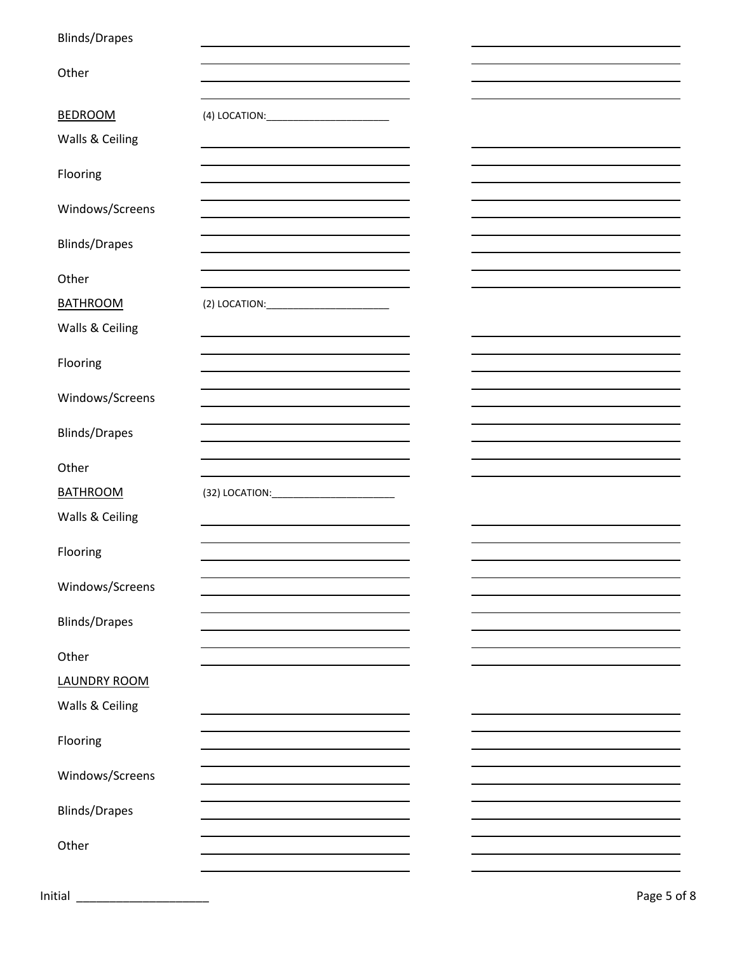| <b>Blinds/Drapes</b> |                                                                            |  |  |
|----------------------|----------------------------------------------------------------------------|--|--|
|                      |                                                                            |  |  |
| Other                | the control of the control of the control of the control of the control of |  |  |
|                      |                                                                            |  |  |
| <b>BEDROOM</b>       |                                                                            |  |  |
| Walls & Ceiling      |                                                                            |  |  |
|                      |                                                                            |  |  |
| Flooring             |                                                                            |  |  |
|                      |                                                                            |  |  |
| Windows/Screens      |                                                                            |  |  |
|                      |                                                                            |  |  |
| <b>Blinds/Drapes</b> |                                                                            |  |  |
| Other                |                                                                            |  |  |
|                      |                                                                            |  |  |
| <b>BATHROOM</b>      |                                                                            |  |  |
| Walls & Ceiling      |                                                                            |  |  |
|                      |                                                                            |  |  |
| Flooring             |                                                                            |  |  |
|                      |                                                                            |  |  |
| Windows/Screens      |                                                                            |  |  |
|                      |                                                                            |  |  |
| <b>Blinds/Drapes</b> |                                                                            |  |  |
|                      |                                                                            |  |  |
|                      |                                                                            |  |  |
| Other                |                                                                            |  |  |
| <b>BATHROOM</b>      |                                                                            |  |  |
| Walls & Ceiling      |                                                                            |  |  |
|                      |                                                                            |  |  |
| Flooring             |                                                                            |  |  |
|                      |                                                                            |  |  |
| Windows/Screens      |                                                                            |  |  |
|                      |                                                                            |  |  |
| <b>Blinds/Drapes</b> |                                                                            |  |  |
| Other                |                                                                            |  |  |
|                      |                                                                            |  |  |
| <b>LAUNDRY ROOM</b>  |                                                                            |  |  |
| Walls & Ceiling      |                                                                            |  |  |
|                      |                                                                            |  |  |
| Flooring             |                                                                            |  |  |
|                      |                                                                            |  |  |
| Windows/Screens      |                                                                            |  |  |
| <b>Blinds/Drapes</b> |                                                                            |  |  |
|                      |                                                                            |  |  |
| Other                |                                                                            |  |  |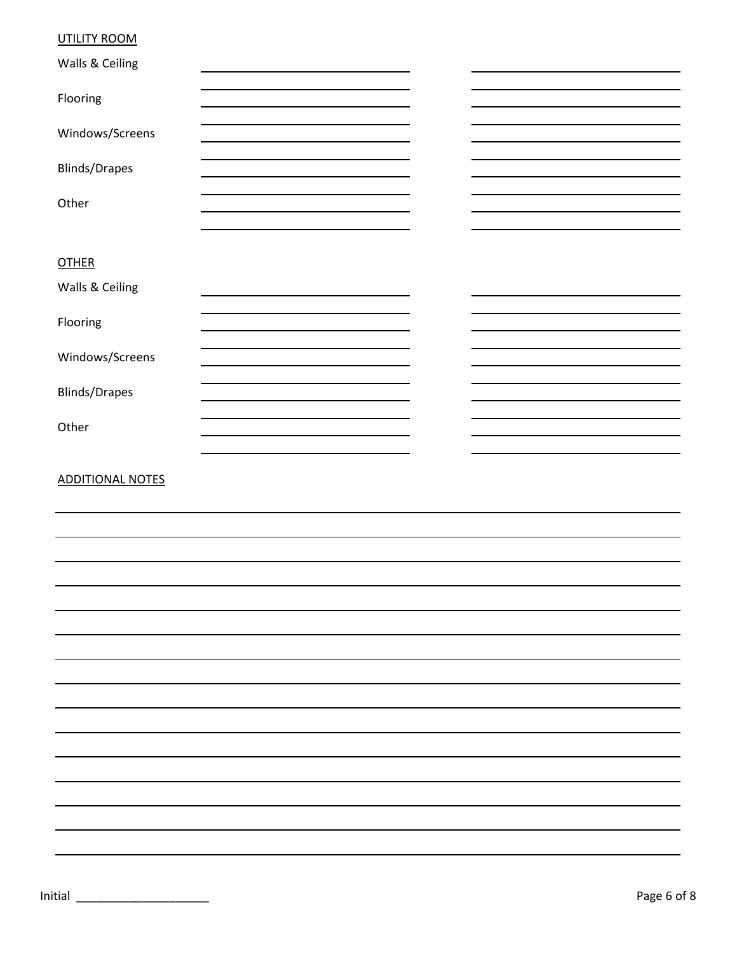## UTILITY ROOM

| Walls & Ceiling         |  |  |
|-------------------------|--|--|
| Flooring                |  |  |
| Windows/Screens         |  |  |
|                         |  |  |
| <b>Blinds/Drapes</b>    |  |  |
| Other                   |  |  |
|                         |  |  |
| <b>OTHER</b>            |  |  |
| Walls & Ceiling         |  |  |
| Flooring                |  |  |
|                         |  |  |
| Windows/Screens         |  |  |
| <b>Blinds/Drapes</b>    |  |  |
| Other                   |  |  |
|                         |  |  |
| <b>ADDITIONAL NOTES</b> |  |  |
|                         |  |  |
|                         |  |  |
|                         |  |  |
|                         |  |  |
|                         |  |  |
|                         |  |  |
|                         |  |  |
|                         |  |  |
|                         |  |  |
|                         |  |  |
|                         |  |  |
|                         |  |  |
|                         |  |  |
|                         |  |  |
|                         |  |  |